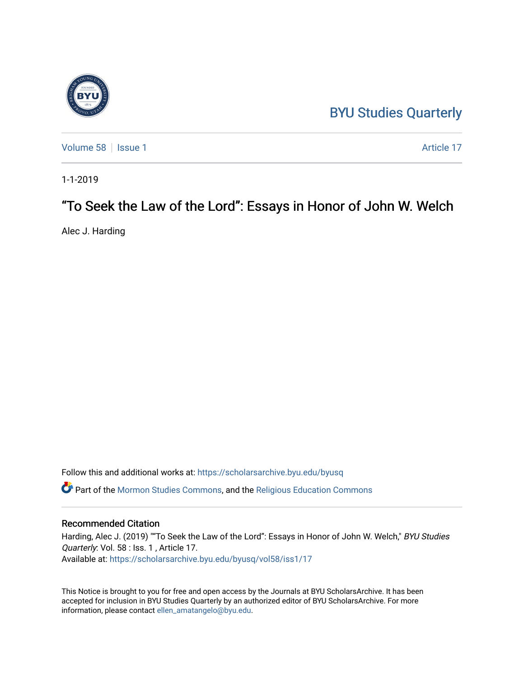## [BYU Studies Quarterly](https://scholarsarchive.byu.edu/byusq)

[Volume 58](https://scholarsarchive.byu.edu/byusq/vol58) | [Issue 1](https://scholarsarchive.byu.edu/byusq/vol58/iss1) Article 17

1-1-2019

## "To Seek the Law of the Lord": Essays in Honor of John W. Welch

Alec J. Harding

Follow this and additional works at: [https://scholarsarchive.byu.edu/byusq](https://scholarsarchive.byu.edu/byusq?utm_source=scholarsarchive.byu.edu%2Fbyusq%2Fvol58%2Fiss1%2F17&utm_medium=PDF&utm_campaign=PDFCoverPages)  Part of the [Mormon Studies Commons](http://network.bepress.com/hgg/discipline/1360?utm_source=scholarsarchive.byu.edu%2Fbyusq%2Fvol58%2Fiss1%2F17&utm_medium=PDF&utm_campaign=PDFCoverPages), and the [Religious Education Commons](http://network.bepress.com/hgg/discipline/1414?utm_source=scholarsarchive.byu.edu%2Fbyusq%2Fvol58%2Fiss1%2F17&utm_medium=PDF&utm_campaign=PDFCoverPages) 

## Recommended Citation

Harding, Alec J. (2019) ""To Seek the Law of the Lord": Essays in Honor of John W. Welch," BYU Studies Quarterly: Vol. 58 : Iss. 1, Article 17. Available at: [https://scholarsarchive.byu.edu/byusq/vol58/iss1/17](https://scholarsarchive.byu.edu/byusq/vol58/iss1/17?utm_source=scholarsarchive.byu.edu%2Fbyusq%2Fvol58%2Fiss1%2F17&utm_medium=PDF&utm_campaign=PDFCoverPages) 

This Notice is brought to you for free and open access by the Journals at BYU ScholarsArchive. It has been accepted for inclusion in BYU Studies Quarterly by an authorized editor of BYU ScholarsArchive. For more information, please contact [ellen\\_amatangelo@byu.edu.](mailto:ellen_amatangelo@byu.edu)